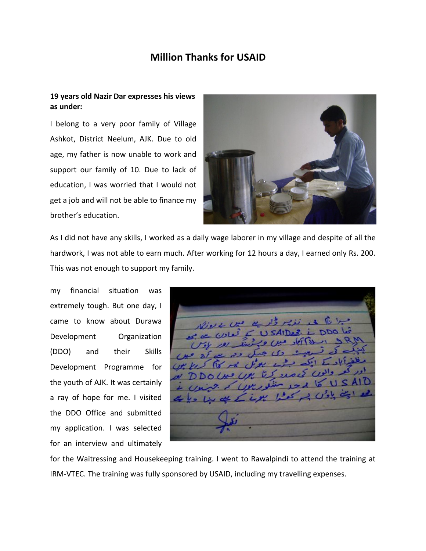## **Million Thanks for USAID**

## **19 years old Nazir Dar expresses his views as under:**

I belong to a very poor family of Village Ashkot, District Neelum, AJK. Due to old age, my father is now unable to work and support our family of 10. Due to lack of education, I was worried that I would not get a job and will not be able to finance my brother's education.



As I did not have any skills, I worked as a daily wage laborer in my village and despite of all the hardwork, I was not able to earn much. After working for 12 hours a day, I earned only Rs. 200. This was not enough to support my family.

my financial situation was extremely tough. But one day, I came to know about Durawa Development Organization (DDO) and their Skills Development Programme for the youth of AJK. It was certainly a ray of hope for me. I visited the DDO Office and submitted my application. I was selected for an interview and ultimately

for the Waitressing and Housekeeping training. I went to Rawalpindi to attend the training at IRM-VTEC. The training was fully sponsored by USAID, including my travelling expenses.